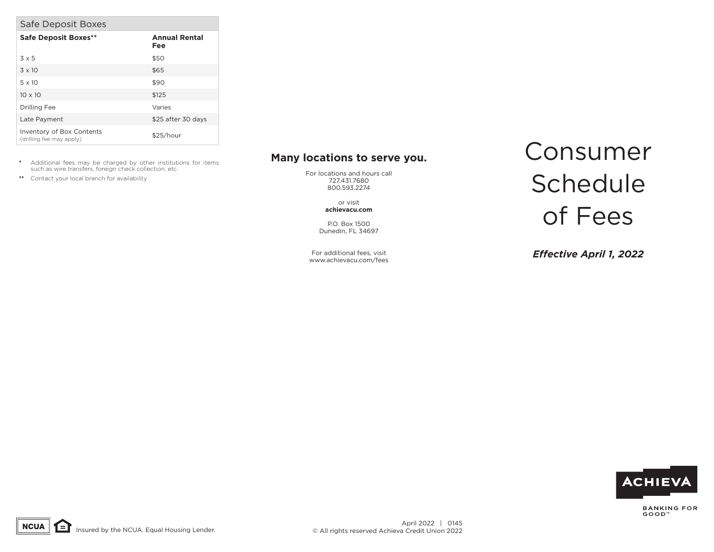|  | Safe Deposit Boxes |  |
|--|--------------------|--|
|--|--------------------|--|

| <b>Safe Deposit Boxes**</b>                           | <b>Annual Rental</b><br>Fee |
|-------------------------------------------------------|-----------------------------|
| $3 \times 5$                                          | \$50                        |
| $3 \times 10$                                         | \$65                        |
| $5 \times 10$                                         | \$90                        |
| $10 \times 10$                                        | \$125                       |
| Drilling Fee                                          | Varies                      |
| Late Payment                                          | \$25 after 30 days          |
| Inventory of Box Contents<br>(drilling fee may apply) | \$25/hour                   |

- **\*** Additional fees may be charged by other institutions for items such as wire transfers, foreign check collection, etc.
- **\*\*** Contact your local branch for availability

## **Many locations to serve you.**

For locations and hours call 727.431.7680 800.593.2274

> or visit **achievacu.com**

P.O. Box 1500 Dunedin, FL 34697

For additional fees, visit www.achievacu.com/fees

## Consumer **Schedule** of Fees

*Effective April 1, 2022*